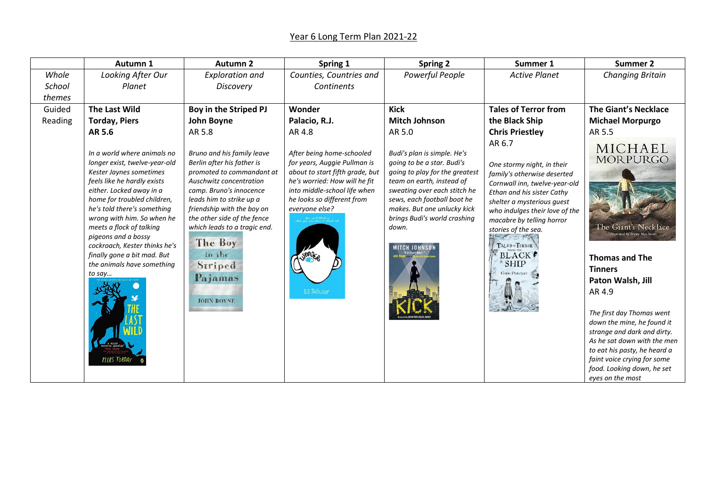## Year 6 Long Term Plan 2021-22

|         | Autumn 1                                                                                                                                                                                                                                                                                                                                                                                                                  | <b>Autumn 2</b>                                                                                                                                                                                                                                                                                                                      | Spring 1                                                                                                                                                                                                                           | <b>Spring 2</b>                                                                                                                                                                                                                                                                         | Summer 1                                                                                                                                                                                                                                                                                                                                               | Summer 2                                                                                                                                                                                                                                                                                                                                                               |
|---------|---------------------------------------------------------------------------------------------------------------------------------------------------------------------------------------------------------------------------------------------------------------------------------------------------------------------------------------------------------------------------------------------------------------------------|--------------------------------------------------------------------------------------------------------------------------------------------------------------------------------------------------------------------------------------------------------------------------------------------------------------------------------------|------------------------------------------------------------------------------------------------------------------------------------------------------------------------------------------------------------------------------------|-----------------------------------------------------------------------------------------------------------------------------------------------------------------------------------------------------------------------------------------------------------------------------------------|--------------------------------------------------------------------------------------------------------------------------------------------------------------------------------------------------------------------------------------------------------------------------------------------------------------------------------------------------------|------------------------------------------------------------------------------------------------------------------------------------------------------------------------------------------------------------------------------------------------------------------------------------------------------------------------------------------------------------------------|
| Whole   | Looking After Our                                                                                                                                                                                                                                                                                                                                                                                                         | <b>Exploration and</b>                                                                                                                                                                                                                                                                                                               | Counties, Countries and                                                                                                                                                                                                            | Powerful People                                                                                                                                                                                                                                                                         | <b>Active Planet</b>                                                                                                                                                                                                                                                                                                                                   | <b>Changing Britain</b>                                                                                                                                                                                                                                                                                                                                                |
| School  | Planet                                                                                                                                                                                                                                                                                                                                                                                                                    | Discovery                                                                                                                                                                                                                                                                                                                            | Continents                                                                                                                                                                                                                         |                                                                                                                                                                                                                                                                                         |                                                                                                                                                                                                                                                                                                                                                        |                                                                                                                                                                                                                                                                                                                                                                        |
| themes  |                                                                                                                                                                                                                                                                                                                                                                                                                           |                                                                                                                                                                                                                                                                                                                                      |                                                                                                                                                                                                                                    |                                                                                                                                                                                                                                                                                         |                                                                                                                                                                                                                                                                                                                                                        |                                                                                                                                                                                                                                                                                                                                                                        |
| Guided  | <b>The Last Wild</b>                                                                                                                                                                                                                                                                                                                                                                                                      | Boy in the Striped PJ                                                                                                                                                                                                                                                                                                                | Wonder                                                                                                                                                                                                                             | <b>Kick</b>                                                                                                                                                                                                                                                                             | <b>Tales of Terror from</b>                                                                                                                                                                                                                                                                                                                            | <b>The Giant's Necklace</b>                                                                                                                                                                                                                                                                                                                                            |
| Reading | <b>Torday, Piers</b>                                                                                                                                                                                                                                                                                                                                                                                                      | John Boyne                                                                                                                                                                                                                                                                                                                           | Palacio, R.J.                                                                                                                                                                                                                      | <b>Mitch Johnson</b>                                                                                                                                                                                                                                                                    | the Black Ship                                                                                                                                                                                                                                                                                                                                         | <b>Michael Morpurgo</b>                                                                                                                                                                                                                                                                                                                                                |
|         | AR 5.6                                                                                                                                                                                                                                                                                                                                                                                                                    | AR 5.8                                                                                                                                                                                                                                                                                                                               | AR 4.8                                                                                                                                                                                                                             | AR 5.0                                                                                                                                                                                                                                                                                  | <b>Chris Priestley</b>                                                                                                                                                                                                                                                                                                                                 | AR 5.5                                                                                                                                                                                                                                                                                                                                                                 |
|         | In a world where animals no<br>longer exist, twelve-year-old<br>Kester Jaynes sometimes<br>feels like he hardly exists<br>either. Locked away in a<br>home for troubled children,<br>he's told there's something<br>wrong with him. So when he<br>meets a flock of talking<br>pigeons and a bossy<br>cockroach, Kester thinks he's<br>finally gone a bit mad. But<br>the animals have something<br>to say<br>PIERS TORDAY | Bruno and his family leave<br>Berlin after his father is<br>promoted to commandant at<br>Auschwitz concentration<br>camp. Bruno's innocence<br>leads him to strike up a<br>friendship with the boy on<br>the other side of the fence<br>which leads to a tragic end.<br>The Boy<br>in the<br>Striped<br>Pajamas<br><b>JOHN BOYNE</b> | After being home-schooled<br>for years, Auggie Pullman is<br>about to start fifth grade, but<br>he's worried: How will he fit<br>into middle-school life when<br>he looks so different from<br>everyone else?<br><b>RJ PALACIO</b> | Budi's plan is simple. He's<br>going to be a star. Budi's<br>going to play for the greatest<br>team on earth, instead of<br>sweating over each stitch he<br>sews, each football boot he<br>makes. But one unlucky kick<br>brings Budi's world crashing<br>down.<br><b>MITCH JOHNSON</b> | AR 6.7<br>One stormy night, in their<br>family's otherwise deserted<br>Cornwall inn, twelve-year-old<br>Ethan and his sister Cathy<br>shelter a mysterious guest<br>who indulges their love of the<br>macabre by telling horror<br>stories of the sea.<br>TALES OF TERROR<br><b>BLACK</b> <sup><i>•</i></sup><br><b>SHIP</b><br><b>CHRIS PRIESTLEY</b> | MICHAEL<br><b>MORPURGO</b><br>The Giant's Necklace<br><b>Thomas and The</b><br><b>Tinners</b><br>Paton Walsh, Jill<br>AR 4.9<br>The first day Thomas went<br>down the mine, he found it<br>strange and dark and dirty.<br>As he sat down with the men<br>to eat his pasty, he heard a<br>faint voice crying for some<br>food. Looking down, he set<br>eyes on the most |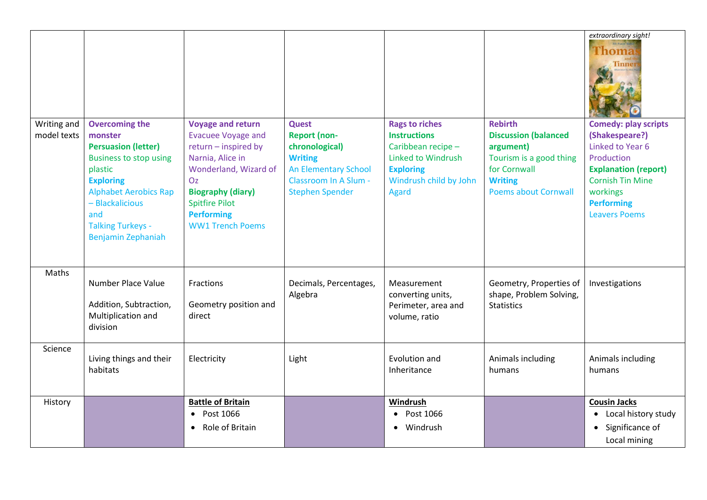| Writing and<br>model texts | <b>Overcoming the</b><br>monster<br><b>Persuasion (letter)</b><br><b>Business to stop using</b><br>plastic<br><b>Exploring</b><br><b>Alphabet Aerobics Rap</b><br>- Blackalicious<br>and<br><b>Talking Turkeys -</b><br>Benjamin Zephaniah | <b>Voyage and return</b><br><b>Evacuee Voyage and</b><br>return - inspired by<br>Narnia, Alice in<br>Wonderland, Wizard of<br>Oz<br><b>Biography (diary)</b><br><b>Spitfire Pilot</b><br><b>Performing</b><br><b>WW1 Trench Poems</b> | <b>Quest</b><br><b>Report (non-</b><br>chronological)<br><b>Writing</b><br><b>An Elementary School</b><br>Classroom In A Slum -<br><b>Stephen Spender</b> | <b>Rags to riches</b><br><b>Instructions</b><br>Caribbean recipe -<br><b>Linked to Windrush</b><br><b>Exploring</b><br>Windrush child by John<br><b>Agard</b> | <b>Rebirth</b><br><b>Discussion (balanced</b><br>argument)<br>Tourism is a good thing<br>for Cornwall<br><b>Writing</b><br><b>Poems about Cornwall</b> | extraordinary sight!<br><b>Thoma</b><br><b>Tinner</b><br><b>Comedy: play scripts</b><br>(Shakespeare?)<br>Linked to Year 6<br>Production<br><b>Explanation (report)</b><br><b>Cornish Tin Mine</b><br>workings<br><b>Performing</b><br><b>Leavers Poems</b> |
|----------------------------|--------------------------------------------------------------------------------------------------------------------------------------------------------------------------------------------------------------------------------------------|---------------------------------------------------------------------------------------------------------------------------------------------------------------------------------------------------------------------------------------|-----------------------------------------------------------------------------------------------------------------------------------------------------------|---------------------------------------------------------------------------------------------------------------------------------------------------------------|--------------------------------------------------------------------------------------------------------------------------------------------------------|-------------------------------------------------------------------------------------------------------------------------------------------------------------------------------------------------------------------------------------------------------------|
| Maths                      | Number Place Value                                                                                                                                                                                                                         | Fractions                                                                                                                                                                                                                             | Decimals, Percentages,<br>Algebra                                                                                                                         | Measurement<br>converting units,                                                                                                                              | Geometry, Properties of<br>shape, Problem Solving,                                                                                                     | Investigations                                                                                                                                                                                                                                              |
|                            | Addition, Subtraction,<br>Multiplication and<br>division                                                                                                                                                                                   | Geometry position and<br>direct                                                                                                                                                                                                       |                                                                                                                                                           | Perimeter, area and<br>volume, ratio                                                                                                                          | <b>Statistics</b>                                                                                                                                      |                                                                                                                                                                                                                                                             |
| Science                    | Living things and their<br>habitats                                                                                                                                                                                                        | Electricity                                                                                                                                                                                                                           | Light                                                                                                                                                     | Evolution and<br>Inheritance                                                                                                                                  | Animals including<br>humans                                                                                                                            | Animals including<br>humans                                                                                                                                                                                                                                 |
| History                    |                                                                                                                                                                                                                                            | <b>Battle of Britain</b><br>• Post 1066<br>Role of Britain<br>$\bullet$                                                                                                                                                               |                                                                                                                                                           | Windrush<br>Post 1066<br>Windrush                                                                                                                             |                                                                                                                                                        | <b>Cousin Jacks</b><br>• Local history study<br>Significance of<br>$\bullet$<br>Local mining                                                                                                                                                                |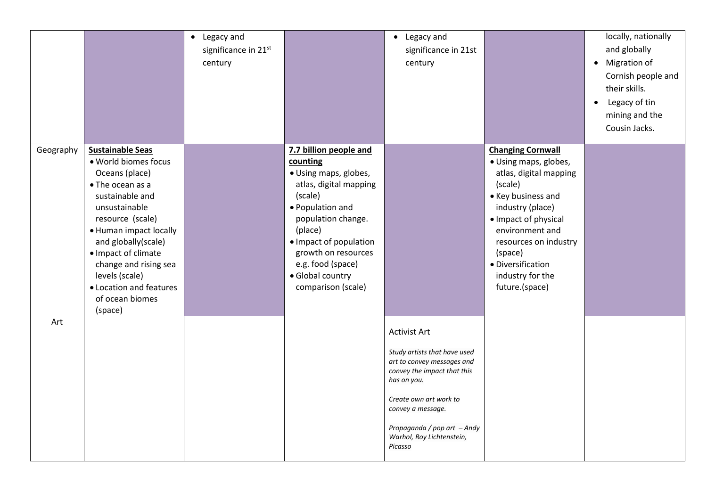|           |                                                                                                                                                                                                                                                                                                                           | Legacy and<br>$\bullet$<br>significance in 21st<br>century |                                                                                                                                                                                                                                                                       | Legacy and<br>$\bullet$<br>significance in 21st<br>century                                                                                                                                                                                            |                                                                                                                                                                                                                                                                            | locally, nationally<br>and globally<br>• Migration of<br>Cornish people and<br>their skills.<br>Legacy of tin<br>$\bullet$<br>mining and the<br>Cousin Jacks. |
|-----------|---------------------------------------------------------------------------------------------------------------------------------------------------------------------------------------------------------------------------------------------------------------------------------------------------------------------------|------------------------------------------------------------|-----------------------------------------------------------------------------------------------------------------------------------------------------------------------------------------------------------------------------------------------------------------------|-------------------------------------------------------------------------------------------------------------------------------------------------------------------------------------------------------------------------------------------------------|----------------------------------------------------------------------------------------------------------------------------------------------------------------------------------------------------------------------------------------------------------------------------|---------------------------------------------------------------------------------------------------------------------------------------------------------------|
| Geography | <b>Sustainable Seas</b><br>· World biomes focus<br>Oceans (place)<br>• The ocean as a<br>sustainable and<br>unsustainable<br>resource (scale)<br>• Human impact locally<br>and globally(scale)<br>· Impact of climate<br>change and rising sea<br>levels (scale)<br>• Location and features<br>of ocean biomes<br>(space) |                                                            | 7.7 billion people and<br>counting<br>· Using maps, globes,<br>atlas, digital mapping<br>(scale)<br>· Population and<br>population change.<br>(place)<br>• Impact of population<br>growth on resources<br>e.g. food (space)<br>· Global country<br>comparison (scale) |                                                                                                                                                                                                                                                       | <b>Changing Cornwall</b><br>· Using maps, globes,<br>atlas, digital mapping<br>(scale)<br>• Key business and<br>industry (place)<br>· Impact of physical<br>environment and<br>resources on industry<br>(space)<br>· Diversification<br>industry for the<br>future.(space) |                                                                                                                                                               |
| Art       |                                                                                                                                                                                                                                                                                                                           |                                                            |                                                                                                                                                                                                                                                                       | <b>Activist Art</b><br>Study artists that have used<br>art to convey messages and<br>convey the impact that this<br>has on you.<br>Create own art work to<br>convey a message.<br>Propaganda / pop art - Andy<br>Warhol, Roy Lichtenstein,<br>Picasso |                                                                                                                                                                                                                                                                            |                                                                                                                                                               |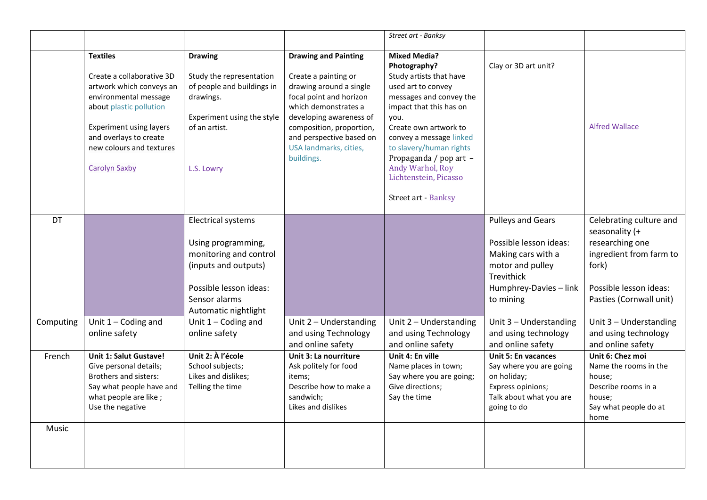|           |                                                                                                                                                                                                                                              |                                                                                                                                                                      |                                                                                                                                                                                                                                                              | Street art - Banksy                                                                                                                                                                                                                                                                                                             |                                                                                                                                                          |                                                                                                                                                       |
|-----------|----------------------------------------------------------------------------------------------------------------------------------------------------------------------------------------------------------------------------------------------|----------------------------------------------------------------------------------------------------------------------------------------------------------------------|--------------------------------------------------------------------------------------------------------------------------------------------------------------------------------------------------------------------------------------------------------------|---------------------------------------------------------------------------------------------------------------------------------------------------------------------------------------------------------------------------------------------------------------------------------------------------------------------------------|----------------------------------------------------------------------------------------------------------------------------------------------------------|-------------------------------------------------------------------------------------------------------------------------------------------------------|
|           | <b>Textiles</b><br>Create a collaborative 3D<br>artwork which conveys an<br>environmental message<br>about plastic pollution<br><b>Experiment using layers</b><br>and overlays to create<br>new colours and textures<br><b>Carolyn Saxby</b> | <b>Drawing</b><br>Study the representation<br>of people and buildings in<br>drawings.<br>Experiment using the style<br>of an artist.<br>L.S. Lowry                   | <b>Drawing and Painting</b><br>Create a painting or<br>drawing around a single<br>focal point and horizon<br>which demonstrates a<br>developing awareness of<br>composition, proportion,<br>and perspective based on<br>USA landmarks, cities,<br>buildings. | <b>Mixed Media?</b><br>Photography?<br>Study artists that have<br>used art to convey<br>messages and convey the<br>impact that this has on<br>you.<br>Create own artwork to<br>convey a message linked<br>to slavery/human rights<br>Propaganda / pop art -<br>Andy Warhol, Roy<br>Lichtenstein, Picasso<br>Street art - Banksy | Clay or 3D art unit?                                                                                                                                     | <b>Alfred Wallace</b>                                                                                                                                 |
| <b>DT</b> |                                                                                                                                                                                                                                              | <b>Electrical systems</b><br>Using programming,<br>monitoring and control<br>(inputs and outputs)<br>Possible lesson ideas:<br>Sensor alarms<br>Automatic nightlight |                                                                                                                                                                                                                                                              |                                                                                                                                                                                                                                                                                                                                 | <b>Pulleys and Gears</b><br>Possible lesson ideas:<br>Making cars with a<br>motor and pulley<br><b>Trevithick</b><br>Humphrey-Davies - link<br>to mining | Celebrating culture and<br>seasonality (+<br>researching one<br>ingredient from farm to<br>fork)<br>Possible lesson ideas:<br>Pasties (Cornwall unit) |
| Computing | Unit $1 -$ Coding and<br>online safety                                                                                                                                                                                                       | Unit $1 -$ Coding and<br>online safety                                                                                                                               | Unit 2 - Understanding<br>and using Technology<br>and online safety                                                                                                                                                                                          | Unit 2 - Understanding<br>and using Technology<br>and online safety                                                                                                                                                                                                                                                             | Unit 3 - Understanding<br>and using technology<br>and online safety                                                                                      | Unit 3 - Understanding<br>and using technology<br>and online safety                                                                                   |
| French    | Unit 1: Salut Gustave!<br>Give personal details;<br>Brothers and sisters:<br>Say what people have and<br>what people are like;<br>Use the negative                                                                                           | Unit 2: À l'école<br>School subjects;<br>Likes and dislikes;<br>Telling the time                                                                                     | Unit 3: La nourriture<br>Ask politely for food<br>items:<br>Describe how to make a<br>sandwich;<br>Likes and dislikes                                                                                                                                        | Unit 4: En ville<br>Name places in town;<br>Say where you are going;<br>Give directions;<br>Say the time                                                                                                                                                                                                                        | Unit 5: En vacances<br>Say where you are going<br>on holiday;<br>Express opinions;<br>Talk about what you are<br>going to do                             | Unit 6: Chez moi<br>Name the rooms in the<br>house;<br>Describe rooms in a<br>house;<br>Say what people do at<br>home                                 |
| Music     |                                                                                                                                                                                                                                              |                                                                                                                                                                      |                                                                                                                                                                                                                                                              |                                                                                                                                                                                                                                                                                                                                 |                                                                                                                                                          |                                                                                                                                                       |